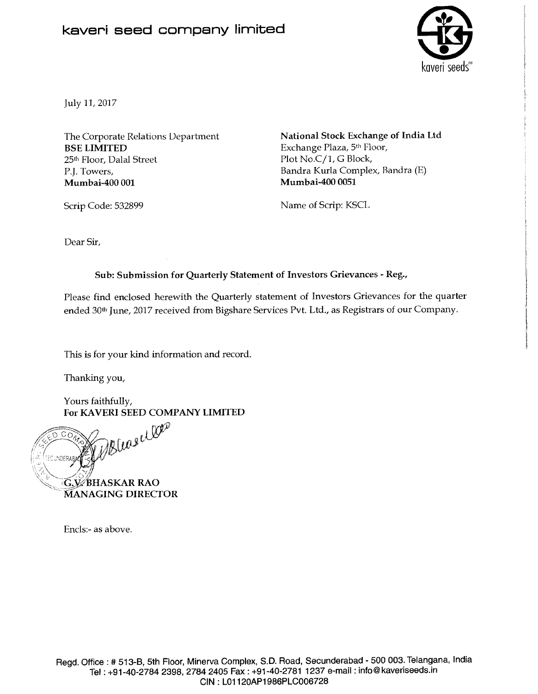## **kaveri seed company limited**



July 11,2017

The Corporate Relations Department BSE LIMITED 25<sup>th</sup> Floor, Dalal Street P.J. Towers, Mumbai-400 001

National Stock Exchange of India Ltd Exchange Plaza, 5<sup>th</sup> Floor, Plot No.C/1, G Block, Bandra Kurla Complex, Randra (E) Mumbai-400 0051

Scrip Code: 532899

Name of Scrip: KSCL

Dear Sir,

Sub: Submission for Quarterly Statement of Investors Grievances - Reg.,

Please find enclosed herewith the Quarterly statement of Investors Grievances for the quarter ended 30<sup>th</sup> June, 2017 received from Bigshare Services Pvt. Ltd., as Registrars of our Company.

This is for your kind information and record.

Thanking you,

Yours faithfully, For KAVERI SEED COMPANY LIMITED

WBless uller **CNDERAB**  $k$ g, $\nu\!\!\!\!/$ bhaskar Rao **MANAGING DIRECTOR** 

Enc1s:- as above.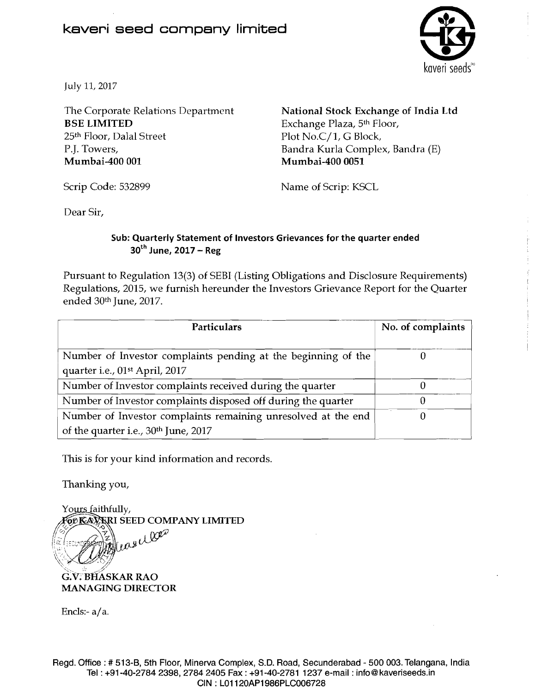## **kaveri seed company limited**



July 11,2017

**BSE LIMITED** Exchange Plaza, 5<sup>th</sup> Floor, 25<sup>th</sup> Floor, Dalal Street Plot No.C/1, G Block, P.J. Towers, and the same complex of the Bandra Kurla Complex, Bandra (E) Mumbai-400 0051

'The Corporate Relations Department **National Stock Exchange of India Ltd Mumbai-400 001 Mumbai-400 0051** 

Scrip Code: 532899 Name of Scrip: KSCL

Dear Sir,

## **Sub: Quarterly Statement of Investors Grievances for the quarter ended 3oth June, 2017** - **Reg**

Pursuant to Regulation 13(3) of SEBI (Listing Obligations and Disclosure Requirements) Regulations, 2015, we furnish hereunder the Investors Grievance Report for the Quarter ended 30th June, 2017.

| Particulars                                                   | No. of complaints |
|---------------------------------------------------------------|-------------------|
|                                                               |                   |
| Number of Investor complaints pending at the beginning of the |                   |
| quarter i.e., 01 <sup>st</sup> April, 2017                    |                   |
| Number of Investor complaints received during the quarter     |                   |
| Number of Investor complaints disposed off during the quarter |                   |
| Number of Investor complaints remaining unresolved at the end |                   |
| of the quarter i.e., 30 <sup>th</sup> June, 2017              |                   |

This is for your kind information and records.

Thanking you,

Yours faithfully, **FOD KAYERI SEED COMPANY LIMITED** 

**&~a** 

G.V. **BHASKAR RAO MANAGING DIRECTOR** 

Encls:- $a/a$ .